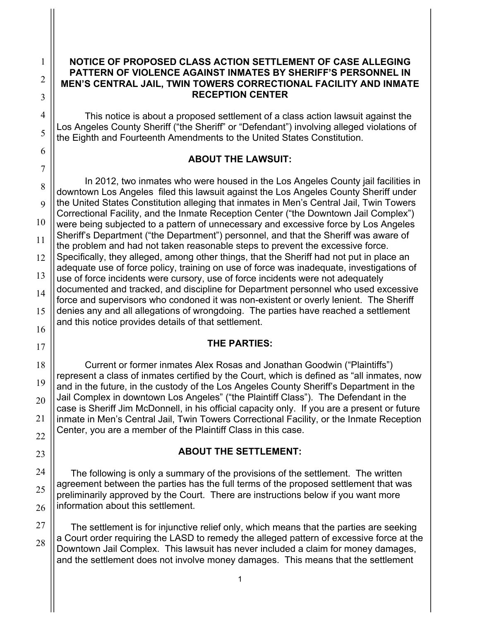#### **NOTICE OF PROPOSED CLASS ACTION SETTLEMENT OF CASE ALLEGING PATTERN OF VIOLENCE AGAINST INMATES BY SHERIFF'S PERSONNEL IN MEN'S CENTRAL JAIL, TWIN TOWERS CORRECTIONAL FACILITY AND INMATE RECEPTION CENTER**

This notice is about a proposed settlement of a class action lawsuit against the Los Angeles County Sheriff ("the Sheriff" or "Defendant") involving alleged violations of the Eighth and Fourteenth Amendments to the United States Constitution.

## **ABOUT THE LAWSUIT:**

In 2012, two inmates who were housed in the Los Angeles County jail facilities in downtown Los Angeles filed this lawsuit against the Los Angeles County Sheriff under the United States Constitution alleging that inmates in Men's Central Jail, Twin Towers Correctional Facility, and the Inmate Reception Center ("the Downtown Jail Complex") were being subjected to a pattern of unnecessary and excessive force by Los Angeles Sheriff's Department ("the Department") personnel, and that the Sheriff was aware of the problem and had not taken reasonable steps to prevent the excessive force. Specifically, they alleged, among other things, that the Sheriff had not put in place an adequate use of force policy, training on use of force was inadequate, investigations of use of force incidents were cursory, use of force incidents were not adequately documented and tracked, and discipline for Department personnel who used excessive force and supervisors who condoned it was non-existent or overly lenient. The Sheriff denies any and all allegations of wrongdoing. The parties have reached a settlement and this notice provides details of that settlement.

### **THE PARTIES:**

Current or former inmates Alex Rosas and Jonathan Goodwin ("Plaintiffs") represent a class of inmates certified by the Court, which is defined as "all inmates, now and in the future, in the custody of the Los Angeles County Sheriff's Department in the Jail Complex in downtown Los Angeles" ("the Plaintiff Class"). The Defendant in the case is Sheriff Jim McDonnell, in his official capacity only. If you are a present or future inmate in Men's Central Jail, Twin Towers Correctional Facility, or the Inmate Reception Center, you are a member of the Plaintiff Class in this case.

### **ABOUT THE SETTLEMENT:**

The following is only a summary of the provisions of the settlement. The written agreement between the parties has the full terms of the proposed settlement that was preliminarily approved by the Court. There are instructions below if you want more information about this settlement.

The settlement is for injunctive relief only, which means that the parties are seeking a Court order requiring the LASD to remedy the alleged pattern of excessive force at the Downtown Jail Complex. This lawsuit has never included a claim for money damages, and the settlement does not involve money damages. This means that the settlement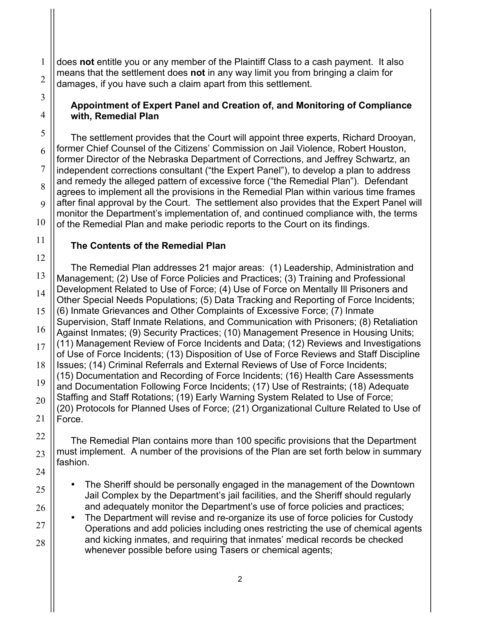does **not** entitle you or any member of the Plaintiff Class to a cash payment. It also means that the settlement does **not** in any way limit you from bringing a claim for damages, if you have such a claim apart from this settlement.

#### **Appointment of Expert Panel and Creation of, and Monitoring of Compliance with, Remedial Plan**

The settlement provides that the Court will appoint three experts, Richard Drooyan, former Chief Counsel of the Citizens' Commission on Jail Violence, Robert Houston, former Director of the Nebraska Department of Corrections, and Jeffrey Schwartz, an independent corrections consultant ("the Expert Panel"), to develop a plan to address and remedy the alleged pattern of excessive force ("the Remedial Plan"). Defendant agrees to implement all the provisions in the Remedial Plan within various time frames after final approval by the Court. The settlement also provides that the Expert Panel will monitor the Department's implementation of, and continued compliance with, the terms of the Remedial Plan and make periodic reports to the Court on its findings.

# **The Contents of the Remedial Plan**

The Remedial Plan addresses 21 major areas: (1) Leadership, Administration and Management; (2) Use of Force Policies and Practices; (3) Training and Professional Development Related to Use of Force; (4) Use of Force on Mentally Ill Prisoners and Other Special Needs Populations; (5) Data Tracking and Reporting of Force Incidents; (6) Inmate Grievances and Other Complaints of Excessive Force; (7) Inmate Supervision, Staff Inmate Relations, and Communication with Prisoners; (8) Retaliation Against Inmates; (9) Security Practices; (10) Management Presence in Housing Units; (11) Management Review of Force Incidents and Data; (12) Reviews and Investigations of Use of Force Incidents; (13) Disposition of Use of Force Reviews and Staff Discipline Issues; (14) Criminal Referrals and External Reviews of Use of Force Incidents; (15) Documentation and Recording of Force Incidents; (16) Health Care Assessments and Documentation Following Force Incidents; (17) Use of Restraints; (18) Adequate Staffing and Staff Rotations; (19) Early Warning System Related to Use of Force; (20) Protocols for Planned Uses of Force; (21) Organizational Culture Related to Use of Force.

The Remedial Plan contains more than 100 specific provisions that the Department must implement. A number of the provisions of the Plan are set forth below in summary fashion.

- The Sheriff should be personally engaged in the management of the Downtown Jail Complex by the Department's jail facilities, and the Sheriff should regularly and adequately monitor the Department's use of force policies and practices;
- The Department will revise and re-organize its use of force policies for Custody Operations and add policies including ones restricting the use of chemical agents and kicking inmates, and requiring that inmates' medical records be checked whenever possible before using Tasers or chemical agents;

1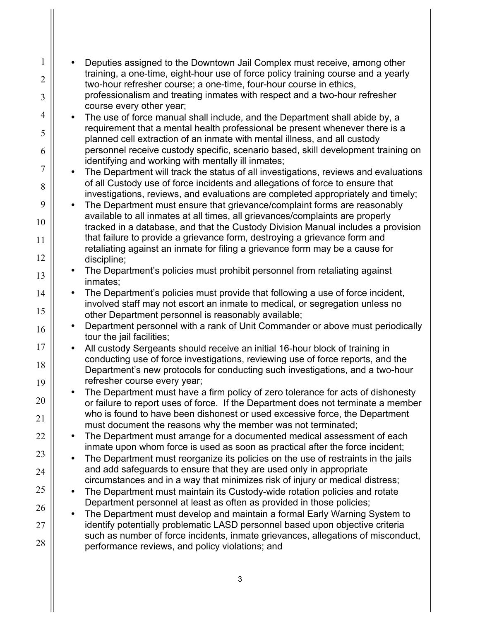| $\mathbf{1}$<br>$\overline{2}$ | Deputies assigned to the Downtown Jail Complex must receive, among other<br>training, a one-time, eight-hour use of force policy training course and a yearly<br>two-hour refresher course; a one-time, four-hour course in ethics,                      |
|--------------------------------|----------------------------------------------------------------------------------------------------------------------------------------------------------------------------------------------------------------------------------------------------------|
| 3                              | professionalism and treating inmates with respect and a two-hour refresher<br>course every other year;                                                                                                                                                   |
| $\overline{4}$                 | The use of force manual shall include, and the Department shall abide by, a                                                                                                                                                                              |
| 5<br>6                         | requirement that a mental health professional be present whenever there is a<br>planned cell extraction of an inmate with mental illness, and all custody<br>personnel receive custody specific, scenario based, skill development training on           |
| $\overline{7}$                 | identifying and working with mentally ill inmates;                                                                                                                                                                                                       |
| 8                              | The Department will track the status of all investigations, reviews and evaluations<br>of all Custody use of force incidents and allegations of force to ensure that<br>investigations, reviews, and evaluations are completed appropriately and timely; |
| 9                              | The Department must ensure that grievance/complaint forms are reasonably                                                                                                                                                                                 |
| 10                             | available to all inmates at all times, all grievances/complaints are properly<br>tracked in a database, and that the Custody Division Manual includes a provision                                                                                        |
| 11                             | that failure to provide a grievance form, destroying a grievance form and<br>retaliating against an inmate for filing a grievance form may be a cause for                                                                                                |
| 12                             | discipline;                                                                                                                                                                                                                                              |
| 13                             | The Department's policies must prohibit personnel from retaliating against<br>inmates;                                                                                                                                                                   |
| 14                             | The Department's policies must provide that following a use of force incident,                                                                                                                                                                           |
| 15                             | involved staff may not escort an inmate to medical, or segregation unless no<br>other Department personnel is reasonably available;                                                                                                                      |
| 16                             | Department personnel with a rank of Unit Commander or above must periodically<br>tour the jail facilities;                                                                                                                                               |
| 17                             | All custody Sergeants should receive an initial 16-hour block of training in                                                                                                                                                                             |
| 18                             | conducting use of force investigations, reviewing use of force reports, and the<br>Department's new protocols for conducting such investigations, and a two-hour<br>refresher course every year;                                                         |
| 19                             | The Department must have a firm policy of zero tolerance for acts of dishonesty                                                                                                                                                                          |
| 20<br>21                       | or failure to report uses of force. If the Department does not terminate a member<br>who is found to have been dishonest or used excessive force, the Department                                                                                         |
| 22                             | must document the reasons why the member was not terminated;<br>The Department must arrange for a documented medical assessment of each                                                                                                                  |
|                                | inmate upon whom force is used as soon as practical after the force incident;                                                                                                                                                                            |
| 23<br>24                       | The Department must reorganize its policies on the use of restraints in the jails<br>and add safeguards to ensure that they are used only in appropriate                                                                                                 |
| 25                             | circumstances and in a way that minimizes risk of injury or medical distress;                                                                                                                                                                            |
|                                | The Department must maintain its Custody-wide rotation policies and rotate<br>Department personnel at least as often as provided in those policies;                                                                                                      |
| 26                             | The Department must develop and maintain a formal Early Warning System to                                                                                                                                                                                |
| 27                             | identify potentially problematic LASD personnel based upon objective criteria<br>such as number of force incidents, inmate grievances, allegations of misconduct,                                                                                        |
| 28                             | performance reviews, and policy violations; and                                                                                                                                                                                                          |
|                                |                                                                                                                                                                                                                                                          |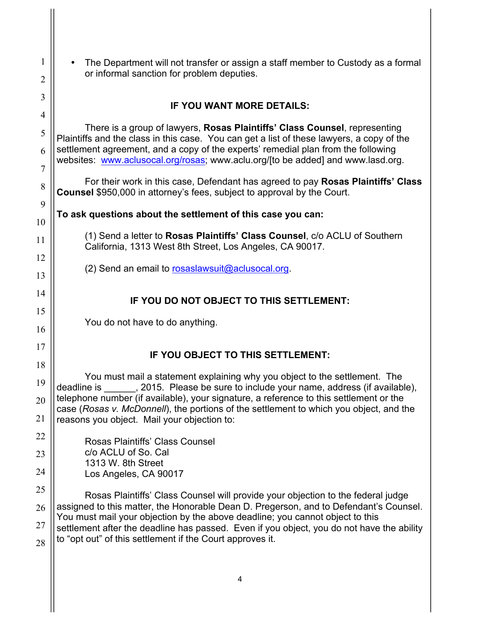| 1              | The Department will not transfer or assign a staff member to Custody as a formal                                                                                                                                                        |
|----------------|-----------------------------------------------------------------------------------------------------------------------------------------------------------------------------------------------------------------------------------------|
| 2              | or informal sanction for problem deputies.                                                                                                                                                                                              |
| 3              | IF YOU WANT MORE DETAILS:                                                                                                                                                                                                               |
| $\overline{4}$ |                                                                                                                                                                                                                                         |
| 5              | There is a group of lawyers, Rosas Plaintiffs' Class Counsel, representing<br>Plaintiffs and the class in this case. You can get a list of these lawyers, a copy of the                                                                 |
| 6<br>7         | settlement agreement, and a copy of the experts' remedial plan from the following<br>websites: www.aclusocal.org/rosas; www.aclu.org/[to be added] and www.lasd.org.                                                                    |
| 8              | For their work in this case, Defendant has agreed to pay Rosas Plaintiffs' Class<br><b>Counsel</b> \$950,000 in attorney's fees, subject to approval by the Court.                                                                      |
| 9              | To ask questions about the settlement of this case you can:                                                                                                                                                                             |
| 10             | (1) Send a letter to Rosas Plaintiffs' Class Counsel, c/o ACLU of Southern                                                                                                                                                              |
| 11             | California, 1313 West 8th Street, Los Angeles, CA 90017.                                                                                                                                                                                |
| 12             | (2) Send an email to rosaslawsuit@aclusocal.org.                                                                                                                                                                                        |
| 13             |                                                                                                                                                                                                                                         |
| 14             | IF YOU DO NOT OBJECT TO THIS SETTLEMENT:                                                                                                                                                                                                |
| 15             | You do not have to do anything.                                                                                                                                                                                                         |
| 16             |                                                                                                                                                                                                                                         |
| 17             | IF YOU OBJECT TO THIS SETTLEMENT:                                                                                                                                                                                                       |
| 18             |                                                                                                                                                                                                                                         |
| 19             | You must mail a statement explaining why you object to the settlement. The<br>_, 2015. Please be sure to include your name, address (if available),<br>deadline is                                                                      |
| 20             | telephone number (if available), your signature, a reference to this settlement or the<br>case (Rosas v. McDonnell), the portions of the settlement to which you object, and the                                                        |
| 21             | reasons you object. Mail your objection to:                                                                                                                                                                                             |
| 22             | Rosas Plaintiffs' Class Counsel                                                                                                                                                                                                         |
| 23             | c/o ACLU of So. Cal<br>1313 W. 8th Street                                                                                                                                                                                               |
| 24             | Los Angeles, CA 90017                                                                                                                                                                                                                   |
| 25             | Rosas Plaintiffs' Class Counsel will provide your objection to the federal judge                                                                                                                                                        |
| 26             | assigned to this matter, the Honorable Dean D. Pregerson, and to Defendant's Counsel.                                                                                                                                                   |
| 27             | You must mail your objection by the above deadline; you cannot object to this<br>settlement after the deadline has passed. Even if you object, you do not have the ability<br>to "opt out" of this settlement if the Court approves it. |
| 28             |                                                                                                                                                                                                                                         |
|                |                                                                                                                                                                                                                                         |